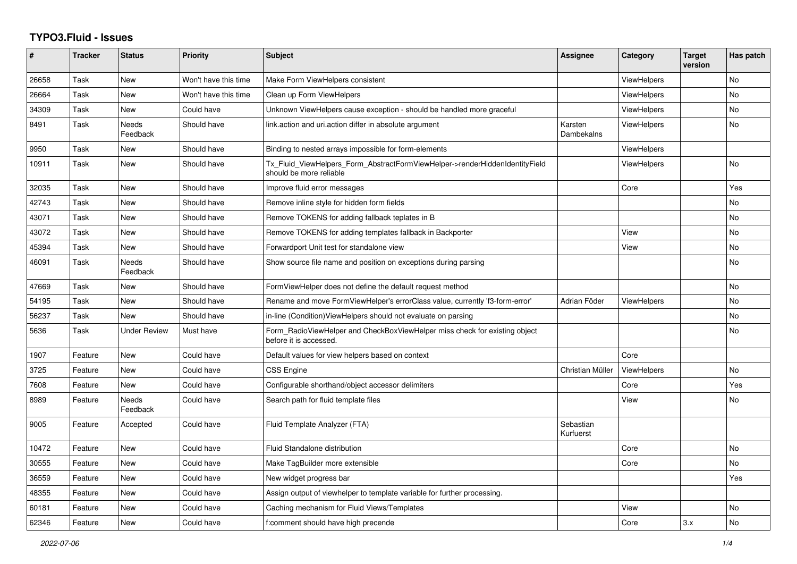## **TYPO3.Fluid - Issues**

| #     | <b>Tracker</b> | <b>Status</b>       | <b>Priority</b>      | <b>Subject</b>                                                                                         | Assignee               | Category           | <b>Target</b><br>version | Has patch |
|-------|----------------|---------------------|----------------------|--------------------------------------------------------------------------------------------------------|------------------------|--------------------|--------------------------|-----------|
| 26658 | Task           | New                 | Won't have this time | Make Form ViewHelpers consistent                                                                       |                        | ViewHelpers        |                          | No        |
| 26664 | Task           | New                 | Won't have this time | Clean up Form ViewHelpers                                                                              |                        | <b>ViewHelpers</b> |                          | <b>No</b> |
| 34309 | Task           | New                 | Could have           | Unknown ViewHelpers cause exception - should be handled more graceful                                  |                        | <b>ViewHelpers</b> |                          | No        |
| 8491  | Task           | Needs<br>Feedback   | Should have          | link.action and uri.action differ in absolute argument                                                 | Karsten<br>Dambekalns  | <b>ViewHelpers</b> |                          | No        |
| 9950  | Task           | New                 | Should have          | Binding to nested arrays impossible for form-elements                                                  |                        | <b>ViewHelpers</b> |                          |           |
| 10911 | Task           | <b>New</b>          | Should have          | Tx Fluid ViewHelpers Form AbstractFormViewHelper->renderHiddenIdentityField<br>should be more reliable |                        | <b>ViewHelpers</b> |                          | <b>No</b> |
| 32035 | Task           | New                 | Should have          | Improve fluid error messages                                                                           |                        | Core               |                          | Yes       |
| 42743 | Task           | New                 | Should have          | Remove inline style for hidden form fields                                                             |                        |                    |                          | <b>No</b> |
| 43071 | Task           | New                 | Should have          | Remove TOKENS for adding fallback teplates in B                                                        |                        |                    |                          | No        |
| 43072 | Task           | <b>New</b>          | Should have          | Remove TOKENS for adding templates fallback in Backporter                                              |                        | View               |                          | <b>No</b> |
| 45394 | Task           | <b>New</b>          | Should have          | Forwardport Unit test for standalone view                                                              |                        | View               |                          | <b>No</b> |
| 46091 | Task           | Needs<br>Feedback   | Should have          | Show source file name and position on exceptions during parsing                                        |                        |                    |                          | No.       |
| 47669 | Task           | New                 | Should have          | FormViewHelper does not define the default request method                                              |                        |                    |                          | No        |
| 54195 | Task           | <b>New</b>          | Should have          | Rename and move FormViewHelper's errorClass value, currently 'f3-form-error'                           | Adrian Föder           | <b>ViewHelpers</b> |                          | <b>No</b> |
| 56237 | Task           | New                 | Should have          | in-line (Condition) View Helpers should not evaluate on parsing                                        |                        |                    |                          | <b>No</b> |
| 5636  | Task           | <b>Under Review</b> | Must have            | Form RadioViewHelper and CheckBoxViewHelper miss check for existing object<br>before it is accessed.   |                        |                    |                          | No        |
| 1907  | Feature        | New                 | Could have           | Default values for view helpers based on context                                                       |                        | Core               |                          |           |
| 3725  | Feature        | New                 | Could have           | CSS Engine                                                                                             | Christian Müller       | ViewHelpers        |                          | <b>No</b> |
| 7608  | Feature        | <b>New</b>          | Could have           | Configurable shorthand/object accessor delimiters                                                      |                        | Core               |                          | Yes       |
| 8989  | Feature        | Needs<br>Feedback   | Could have           | Search path for fluid template files                                                                   |                        | View               |                          | <b>No</b> |
| 9005  | Feature        | Accepted            | Could have           | Fluid Template Analyzer (FTA)                                                                          | Sebastian<br>Kurfuerst |                    |                          |           |
| 10472 | Feature        | New                 | Could have           | <b>Fluid Standalone distribution</b>                                                                   |                        | Core               |                          | No        |
| 30555 | Feature        | <b>New</b>          | Could have           | Make TagBuilder more extensible                                                                        |                        | Core               |                          | <b>No</b> |
| 36559 | Feature        | <b>New</b>          | Could have           | New widget progress bar                                                                                |                        |                    |                          | Yes       |
| 48355 | Feature        | New                 | Could have           | Assign output of viewhelper to template variable for further processing.                               |                        |                    |                          |           |
| 60181 | Feature        | New                 | Could have           | Caching mechanism for Fluid Views/Templates                                                            |                        | View               |                          | No        |
| 62346 | Feature        | <b>New</b>          | Could have           | f:comment should have high precende                                                                    |                        | Core               | 3.x                      | <b>No</b> |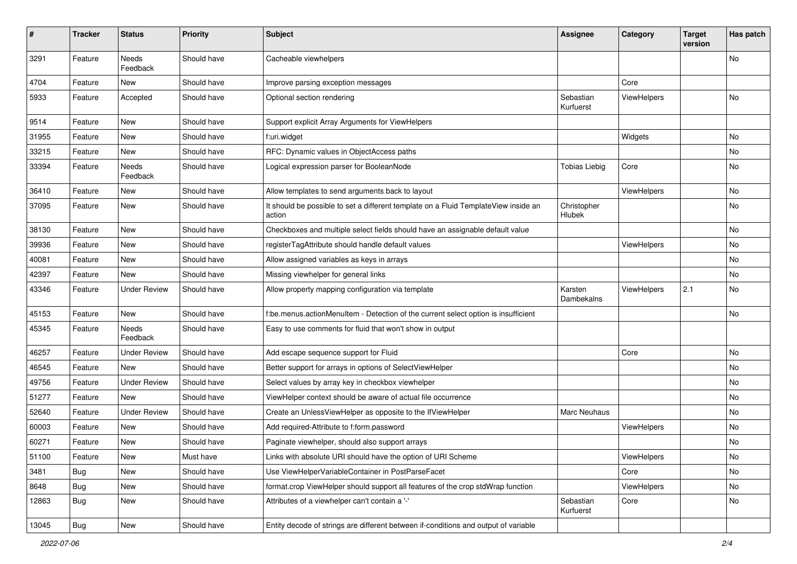| $\#$  | <b>Tracker</b> | <b>Status</b>            | <b>Priority</b> | <b>Subject</b>                                                                                | <b>Assignee</b>        | Category    | <b>Target</b><br>version | Has patch |
|-------|----------------|--------------------------|-----------------|-----------------------------------------------------------------------------------------------|------------------------|-------------|--------------------------|-----------|
| 3291  | Feature        | <b>Needs</b><br>Feedback | Should have     | Cacheable viewhelpers                                                                         |                        |             |                          | <b>No</b> |
| 4704  | Feature        | New                      | Should have     | Improve parsing exception messages                                                            |                        | Core        |                          |           |
| 5933  | Feature        | Accepted                 | Should have     | Optional section rendering                                                                    | Sebastian<br>Kurfuerst | ViewHelpers |                          | No        |
| 9514  | Feature        | New                      | Should have     | Support explicit Array Arguments for ViewHelpers                                              |                        |             |                          |           |
| 31955 | Feature        | New                      | Should have     | f:uri.widget                                                                                  |                        | Widgets     |                          | No        |
| 33215 | Feature        | New                      | Should have     | RFC: Dynamic values in ObjectAccess paths                                                     |                        |             |                          | No        |
| 33394 | Feature        | Needs<br>Feedback        | Should have     | Logical expression parser for BooleanNode                                                     | <b>Tobias Liebig</b>   | Core        |                          | No        |
| 36410 | Feature        | New                      | Should have     | Allow templates to send arguments back to layout                                              |                        | ViewHelpers |                          | No        |
| 37095 | Feature        | New                      | Should have     | It should be possible to set a different template on a Fluid TemplateView inside an<br>action | Christopher<br>Hlubek  |             |                          | No        |
| 38130 | Feature        | New                      | Should have     | Checkboxes and multiple select fields should have an assignable default value                 |                        |             |                          | No        |
| 39936 | Feature        | New                      | Should have     | registerTagAttribute should handle default values                                             |                        | ViewHelpers |                          | No        |
| 40081 | Feature        | New                      | Should have     | Allow assigned variables as keys in arrays                                                    |                        |             |                          | No        |
| 42397 | Feature        | New                      | Should have     | Missing viewhelper for general links                                                          |                        |             |                          | No        |
| 43346 | Feature        | <b>Under Review</b>      | Should have     | Allow property mapping configuration via template                                             | Karsten<br>Dambekalns  | ViewHelpers | 2.1                      | No        |
| 45153 | Feature        | New                      | Should have     | f:be.menus.actionMenuItem - Detection of the current select option is insufficient            |                        |             |                          | No        |
| 45345 | Feature        | Needs<br>Feedback        | Should have     | Easy to use comments for fluid that won't show in output                                      |                        |             |                          |           |
| 46257 | Feature        | <b>Under Review</b>      | Should have     | Add escape sequence support for Fluid                                                         |                        | Core        |                          | No        |
| 46545 | Feature        | New                      | Should have     | Better support for arrays in options of SelectViewHelper                                      |                        |             |                          | No        |
| 49756 | Feature        | <b>Under Review</b>      | Should have     | Select values by array key in checkbox viewhelper                                             |                        |             |                          | No        |
| 51277 | Feature        | New                      | Should have     | ViewHelper context should be aware of actual file occurrence                                  |                        |             |                          | No        |
| 52640 | Feature        | <b>Under Review</b>      | Should have     | Create an UnlessViewHelper as opposite to the IfViewHelper                                    | Marc Neuhaus           |             |                          | No        |
| 60003 | Feature        | New                      | Should have     | Add required-Attribute to f:form.password                                                     |                        | ViewHelpers |                          | No        |
| 60271 | Feature        | New                      | Should have     | Paginate viewhelper, should also support arrays                                               |                        |             |                          | No        |
| 51100 | Feature        | New                      | Must have       | Links with absolute URI should have the option of URI Scheme                                  |                        | ViewHelpers |                          | No        |
| 3481  | Bug            | New                      | Should have     | Use ViewHelperVariableContainer in PostParseFacet                                             |                        | Core        |                          | No        |
| 8648  | Bug            | New                      | Should have     | format.crop ViewHelper should support all features of the crop stdWrap function               |                        | ViewHelpers |                          | No        |
| 12863 | <b>Bug</b>     | New                      | Should have     | Attributes of a viewhelper can't contain a '-'                                                | Sebastian<br>Kurfuerst | Core        |                          | No        |
| 13045 | <b>Bug</b>     | New                      | Should have     | Entity decode of strings are different between if-conditions and output of variable           |                        |             |                          |           |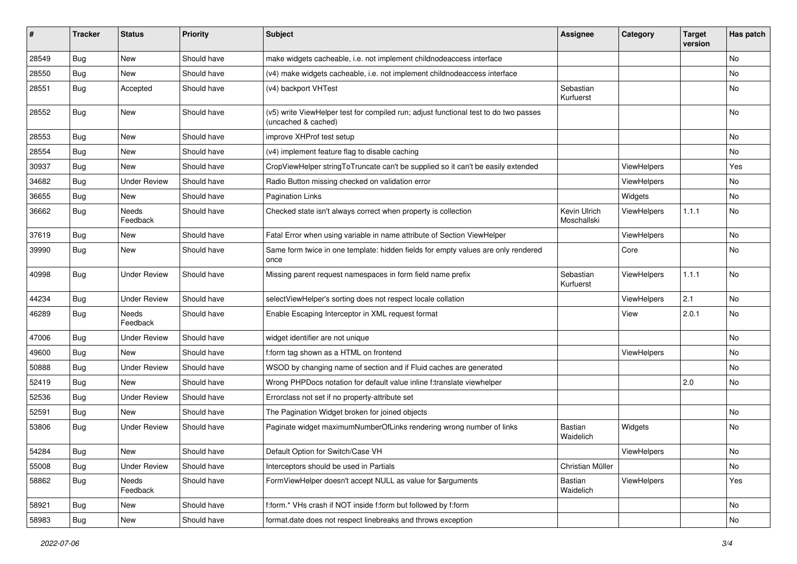| #     | <b>Tracker</b> | <b>Status</b>       | <b>Priority</b> | <b>Subject</b>                                                                                              | <b>Assignee</b>             | Category    | <b>Target</b><br>version | Has patch |
|-------|----------------|---------------------|-----------------|-------------------------------------------------------------------------------------------------------------|-----------------------------|-------------|--------------------------|-----------|
| 28549 | Bug            | New                 | Should have     | make widgets cacheable, i.e. not implement childnodeaccess interface                                        |                             |             |                          | <b>No</b> |
| 28550 | Bug            | New                 | Should have     | (v4) make widgets cacheable, i.e. not implement childnodeaccess interface                                   |                             |             |                          | No        |
| 28551 | Bug            | Accepted            | Should have     | (v4) backport VHTest                                                                                        | Sebastian<br>Kurfuerst      |             |                          | No        |
| 28552 | Bug            | New                 | Should have     | (v5) write ViewHelper test for compiled run; adjust functional test to do two passes<br>(uncached & cached) |                             |             |                          | <b>No</b> |
| 28553 | Bug            | New                 | Should have     | improve XHProf test setup                                                                                   |                             |             |                          | No        |
| 28554 | Bug            | New                 | Should have     | (v4) implement feature flag to disable caching                                                              |                             |             |                          | No        |
| 30937 | <b>Bug</b>     | New                 | Should have     | CropViewHelper stringToTruncate can't be supplied so it can't be easily extended                            |                             | ViewHelpers |                          | Yes       |
| 34682 | Bug            | <b>Under Review</b> | Should have     | Radio Button missing checked on validation error                                                            |                             | ViewHelpers |                          | No        |
| 36655 | Bug            | New                 | Should have     | <b>Pagination Links</b>                                                                                     |                             | Widgets     |                          | No        |
| 36662 | Bug            | Needs<br>Feedback   | Should have     | Checked state isn't always correct when property is collection                                              | Kevin Ulrich<br>Moschallski | ViewHelpers | 1.1.1                    | <b>No</b> |
| 37619 | Bug            | New                 | Should have     | Fatal Error when using variable in name attribute of Section ViewHelper                                     |                             | ViewHelpers |                          | <b>No</b> |
| 39990 | Bug            | New                 | Should have     | Same form twice in one template: hidden fields for empty values are only rendered<br>once                   |                             | Core        |                          | No        |
| 40998 | Bug            | <b>Under Review</b> | Should have     | Missing parent request namespaces in form field name prefix                                                 | Sebastian<br>Kurfuerst      | ViewHelpers | 1.1.1                    | No        |
| 44234 | Bug            | <b>Under Review</b> | Should have     | selectViewHelper's sorting does not respect locale collation                                                |                             | ViewHelpers | 2.1                      | No        |
| 46289 | Bug            | Needs<br>Feedback   | Should have     | Enable Escaping Interceptor in XML request format                                                           |                             | View        | 2.0.1                    | <b>No</b> |
| 47006 | Bug            | Under Review        | Should have     | widget identifier are not unique                                                                            |                             |             |                          | No        |
| 49600 | Bug            | New                 | Should have     | f:form tag shown as a HTML on frontend                                                                      |                             | ViewHelpers |                          | No        |
| 50888 | Bug            | <b>Under Review</b> | Should have     | WSOD by changing name of section and if Fluid caches are generated                                          |                             |             |                          | No        |
| 52419 | Bug            | New                 | Should have     | Wrong PHPDocs notation for default value inline f:translate viewhelper                                      |                             |             | 2.0                      | No        |
| 52536 | Bug            | Under Review        | Should have     | Errorclass not set if no property-attribute set                                                             |                             |             |                          |           |
| 52591 | Bug            | New                 | Should have     | The Pagination Widget broken for joined objects                                                             |                             |             |                          | No        |
| 53806 | Bug            | <b>Under Review</b> | Should have     | Paginate widget maximumNumberOfLinks rendering wrong number of links                                        | Bastian<br>Waidelich        | Widgets     |                          | <b>No</b> |
| 54284 | <b>Bug</b>     | New                 | Should have     | Default Option for Switch/Case VH                                                                           |                             | ViewHelpers |                          | No        |
| 55008 | Bug            | Under Review        | Should have     | Interceptors should be used in Partials                                                                     | Christian Müller            |             |                          | No        |
| 58862 | Bug            | Needs<br>Feedback   | Should have     | FormViewHelper doesn't accept NULL as value for \$arguments                                                 | Bastian<br>Waidelich        | ViewHelpers |                          | Yes       |
| 58921 | Bug            | New                 | Should have     | f:form.* VHs crash if NOT inside f:form but followed by f:form                                              |                             |             |                          | No        |
| 58983 | <b>Bug</b>     | New                 | Should have     | format.date does not respect linebreaks and throws exception                                                |                             |             |                          | No        |